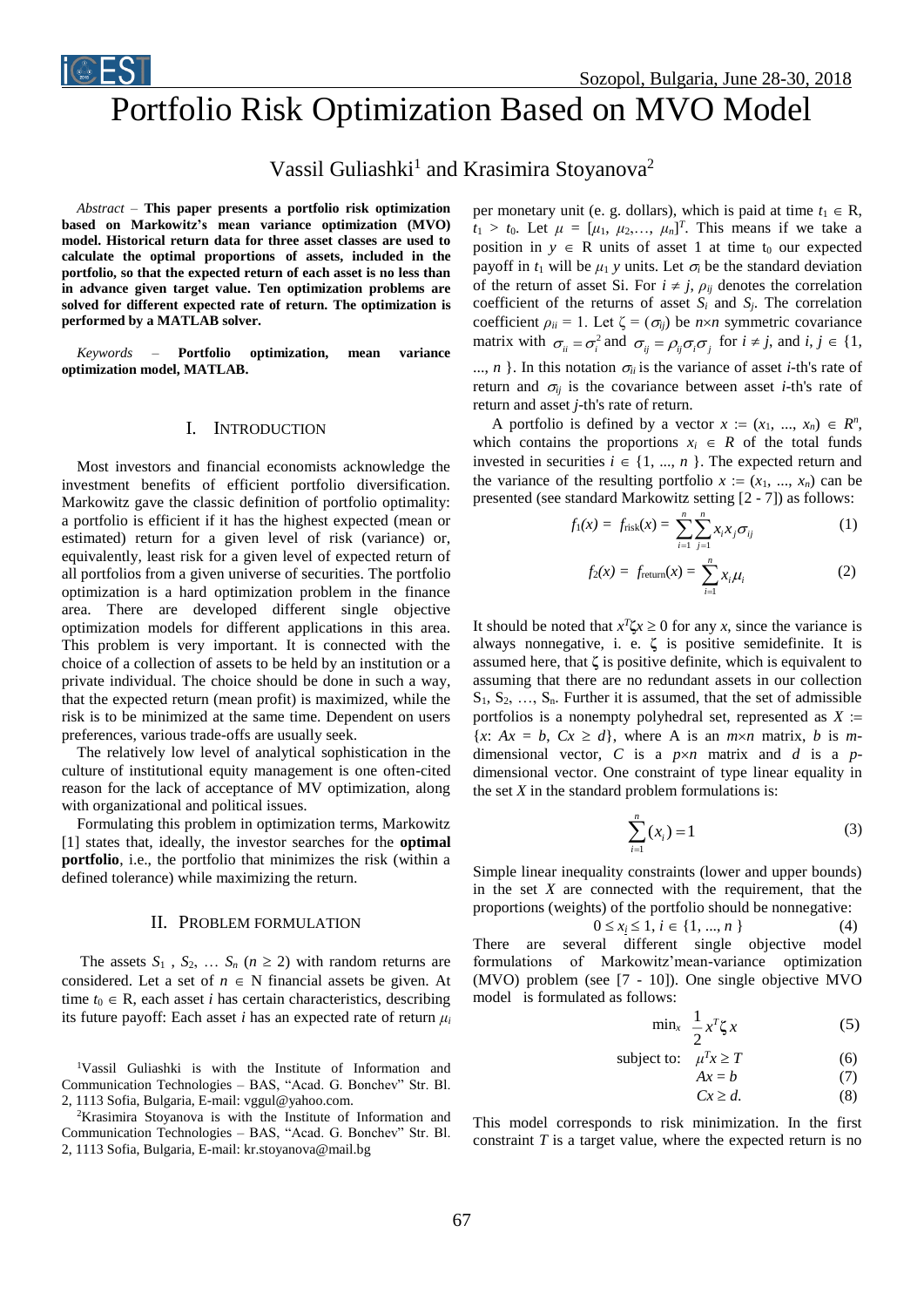Sozopol, Bulgaria, June 28-30, 2018

# Portfolio Risk Optimization Based on MVO Model

# Vassil Guliashki<sup>1</sup> and Krasimira Stoyanova<sup>2</sup>

*Abstract –* **This paper presents a portfolio risk optimization based on Markowitz's mean variance optimization (MVO) model. Historical return data for three asset classes are used to calculate the optimal proportions of assets, included in the portfolio, so that the expected return of each asset is no less than in advance given target value. Ten optimization problems are solved for different expected rate of return. The optimization is performed by a MATLAB solver.** 

*Keywords –* **Portfolio optimization, mean variance optimization model, MATLAB.**

### I. INTRODUCTION

Most investors and financial economists acknowledge the investment benefits of efficient portfolio diversification. Markowitz gave the classic definition of portfolio optimality: a portfolio is efficient if it has the highest expected (mean or estimated) return for a given level of risk (variance) or, equivalently, least risk for a given level of expected return of all portfolios from a given universe of securities. The portfolio optimization is a hard optimization problem in the finance area. There are developed different single objective optimization models for different applications in this area. This problem is very important. It is connected with the choice of a collection of assets to be held by an institution or a private individual. The choice should be done in such a way, that the expected return (mean profit) is maximized, while the risk is to be minimized at the same time. Dependent on users preferences, various trade-offs are usually seek.

The relatively low level of analytical sophistication in the culture of institutional equity management is one often-cited reason for the lack of acceptance of MV optimization, along with organizational and political issues.

Formulating this problem in optimization terms, Markowitz [1] states that, ideally, the investor searches for the **optimal portfolio**, i.e., the portfolio that minimizes the risk (within a defined tolerance) while maximizing the return.

# II. PROBLEM FORMULATION

The assets  $S_1$ ,  $S_2$ , ...  $S_n$  ( $n \ge 2$ ) with random returns are considered. Let a set of  $n \in N$  financial assets be given. At time  $t_0 \in \mathbb{R}$ , each asset *i* has certain characteristics, describing its future payoff: Each asset *i* has an expected rate of return  $\mu_i$ 

<sup>1</sup>Vassil Guliashki is with the Institute of Information and Communication Technologies – BAS, "Acad. G. Bonchev" Str. Bl. 2, 1113 Sofia, Bulgaria, E-mail: vggul@yahoo.com.

<sup>2</sup>Krasimira Stoyanova is with the Institute of Information and Communication Technologies – BAS, "Acad. G. Bonchev" Str. Bl. 2, 1113 Sofia, Bulgaria, E-mail: kr.stoyanova@mail.bg

per monetary unit (e. g. dollars), which is paid at time  $t_1 \in \mathbb{R}$ ,  $t_1 > t_0$ . Let  $\mu = [\mu_1, \mu_2, \dots, \mu_n]^T$ . This means if we take a position in  $y \in R$  units of asset 1 at time t<sub>0</sub> our expected payoff in  $t_1$  will be  $\mu_1$  *y* units. Let  $\sigma_i$  be the standard deviation of the return of asset Si. For  $i \neq j$ ,  $\rho_{ij}$  denotes the correlation coefficient of the returns of asset  $S_i$  and  $S_j$ . The correlation coefficient  $\rho_{ii} = 1$ . Let  $\zeta = (\sigma_{ij})$  be  $n \times n$  symmetric covariance matrix with  $\sigma_{ii} = \sigma_i^2$  and  $\sigma_{ij} = \rho_{ij}\sigma_i\sigma_j$  for  $i \neq j$ , and  $i, j \in \{1, j\}$ ..., *n* }. In this notation  $\sigma_{ii}$  is the variance of asset *i*-th's rate of return and  $\sigma_{ij}$  is the covariance between asset *i*-th's rate of return and asset *j*-th's rate of return.

A portfolio is defined by a vector  $x := (x_1, ..., x_n) \in R^n$ , which contains the proportions  $x_i \in R$  of the total funds invested in securities  $i \in \{1, ..., n\}$ . The expected return and the variance of the resulting portfolio  $x := (x_1, ..., x_n)$  can be presented (see standard Markowitz setting [2 - 7]) as follows:

$$
f_1(x) = f_{\text{risk}}(x) = \sum_{i=1}^n \sum_{j=1}^n x_i x_j \sigma_{ij} \tag{1}
$$

$$
f_2(x) = f_{\text{return}}(x) = \sum_{i=1}^n x_i \mu_i \tag{2}
$$

It should be noted that  $x^T \zeta x \ge 0$  for any *x*, since the variance is always nonnegative, i. e. **ζ** is positive semidefinite. It is assumed here, that **ζ** is positive definite, which is equivalent to assuming that there are no redundant assets in our collection  $S_1, S_2, \ldots, S_n$ . Further it is assumed, that the set of admissible portfolios is a nonempty polyhedral set, represented as *X*   ${x: Ax = b, Cx \ge d}$ , where A is an *mxn* matrix, *b* is *m*dimensional vector,  $C$  is a  $p \times n$  matrix and  $d$  is a  $p$ dimensional vector. One constraint of type linear equality in the set  $X$  in the standard problem formulations is:

$$
\sum_{i=1}^{n} (x_i) = 1
$$
 (3)

Simple linear inequality constraints (lower and upper bounds) in the set *X* are connected with the requirement, that the proportions (weights) of the portfolio should be nonnegative:

$$
0 \le x_i \le 1, i \in \{1, ..., n\}
$$
 (4)  
2. several different single, choice

There are several different single objective model formulations of Markowitz'mean-variance optimization (MVO) problem (see [7 - 10]). One single objective MVO model is formulated as follows:

$$
\min_{x} \frac{1}{2} x^T \zeta x \tag{5}
$$

subject to: 
$$
\mu^T x \ge T \tag{6}
$$

$$
Ax = b \tag{7}
$$

 $Cx \geq d.$  (8)

This model corresponds to risk minimization. In the first constraint *T* is a target value, where the expected return is no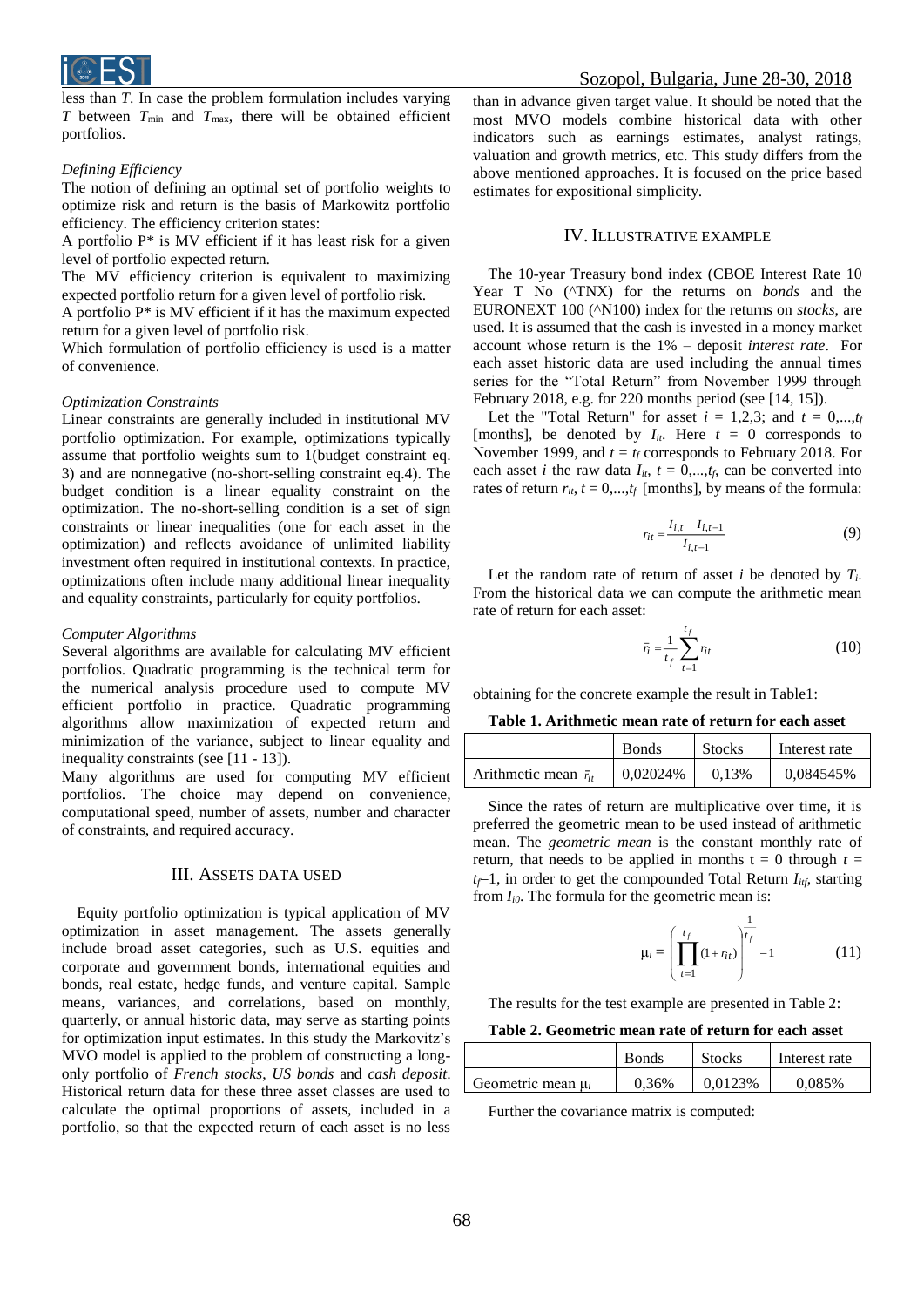

less than *T*. In case the problem formulation includes varying *T* between  $T_{\text{min}}$  and  $T_{\text{max}}$ , there will be obtained efficient portfolios.

# *Defining Efficiency*

The notion of defining an optimal set of portfolio weights to optimize risk and return is the basis of Markowitz portfolio efficiency. The efficiency criterion states:

A portfolio P\* is MV efficient if it has least risk for a given level of portfolio expected return.

The MV efficiency criterion is equivalent to maximizing expected portfolio return for a given level of portfolio risk.

A portfolio P\* is MV efficient if it has the maximum expected return for a given level of portfolio risk.

Which formulation of portfolio efficiency is used is a matter of convenience.

#### *Optimization Constraints*

Linear constraints are generally included in institutional MV portfolio optimization. For example, optimizations typically assume that portfolio weights sum to 1(budget constraint eq. 3) and are nonnegative (no-short-selling constraint eq.4). The budget condition is a linear equality constraint on the optimization. The no-short-selling condition is a set of sign constraints or linear inequalities (one for each asset in the optimization) and reflects avoidance of unlimited liability investment often required in institutional contexts. In practice, optimizations often include many additional linear inequality and equality constraints, particularly for equity portfolios.

#### *Computer Algorithms*

Several algorithms are available for calculating MV efficient portfolios. Quadratic programming is the technical term for the numerical analysis procedure used to compute MV efficient portfolio in practice. Quadratic programming algorithms allow maximization of expected return and minimization of the variance, subject to linear equality and inequality constraints (see [11 - 13]).

Many algorithms are used for computing MV efficient portfolios. The choice may depend on convenience, computational speed, number of assets, number and character of constraints, and required accuracy.

# III. ASSETS DATA USED

Equity portfolio optimization is typical application of MV optimization in asset management. The assets generally include broad asset categories, such as U.S. equities and corporate and government bonds, international equities and bonds, real estate, hedge funds, and venture capital. Sample means, variances, and correlations, based on monthly, quarterly, or annual historic data, may serve as starting points for optimization input estimates. In this study the Markovitz's MVO model is applied to the problem of constructing a longonly portfolio of *French stocks*, *US bonds* and *cash deposit*. Historical return data for these three asset classes are used to calculate the optimal proportions of assets, included in a portfolio, so that the expected return of each asset is no less

than in advance given target value. It should be noted that the most MVO models combine historical data with other indicators such as earnings estimates, analyst ratings, valuation and growth metrics, etc. This study differs from the above mentioned approaches. It is focused on the price based estimates for expositional simplicity.

# IV. ILLUSTRATIVE EXAMPLE

The 10-year Treasury bond index (CBOE Interest Rate 10 Year T No (^TNX) for the returns on *bonds* and the EURONEXT 100 (^N100) index for the returns on *stocks*, are used. It is assumed that the cash is invested in a money market account whose return is the 1% – deposit *interest rate*. For each asset historic data are used including the annual times series for the "Total Return" from November 1999 through February 2018, e.g. for 220 months period (see [14, 15]).

Let the "Total Return" for asset  $i = 1,2,3$ ; and  $t = 0,...,t_f$ [months], be denoted by  $I_{it}$ . Here  $t = 0$  corresponds to November 1999, and  $t = t_f$  corresponds to February 2018. For each asset *i* the raw data  $I_{it}$ ,  $t = 0,...,t_f$ , can be converted into rates of return  $r_{it}$ ,  $t = 0,...,t_f$  [months], by means of the formula:

$$
r_{it} = \frac{I_{i,t} - I_{i,t-1}}{I_{i,t-1}}
$$
(9)

Let the random rate of return of asset *i* be denoted by *Ti*. From the historical data we can compute the arithmetic mean rate of return for each asset:

$$
\bar{r}_i = \frac{1}{t_f} \sum_{t=1}^{t_f} r_{it} \tag{10}
$$

obtaining for the concrete example the result in Table1:

**Table 1. Arithmetic mean rate of return for each asset**

|                                | <b>Bonds</b> |       | Interest rate |
|--------------------------------|--------------|-------|---------------|
| Arithmetic mean $\bar{r}_{it}$ | 0,02024%     | 0.13% | 0,084545%     |

Since the rates of return are multiplicative over time, it is preferred the geometric mean to be used instead of arithmetic mean. The *geometric mean* is the constant monthly rate of return, that needs to be applied in months  $t = 0$  through  $t =$  $t_f$ –1, in order to get the compounded Total Return  $I_{itf}$ , starting from *Ii0*. The formula for the geometric mean is:

$$
\mu_i = \left(\prod_{t=1}^{t_f} (1 + r_{it})\right)^{\frac{1}{t_f}} - 1 \tag{11}
$$

The results for the test example are presented in Table 2:

# **Table 2. Geometric mean rate of return for each asset**

|                        | <b>Bonds</b> | <b>Stocks</b>  | Interest rate |
|------------------------|--------------|----------------|---------------|
| Geometric mean $\mu_i$ | 0.36%        | <b>0.0123%</b> | 0.085%        |

Further the covariance matrix is computed: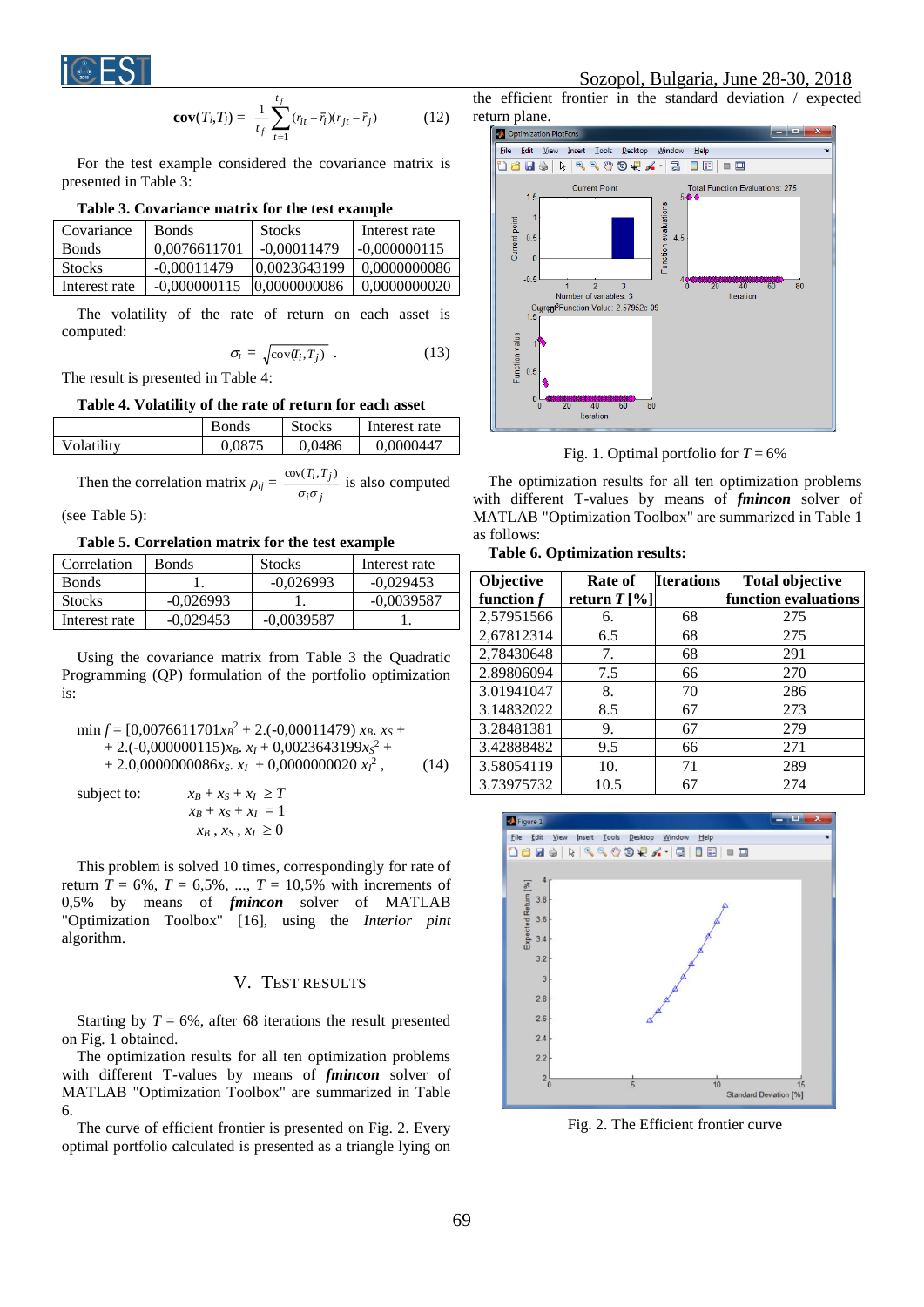

$$
cov(T_i, T_j) = \frac{1}{t_f} \sum_{t=1}^{t_f} (r_{it} - \bar{r}_i)(r_{jt} - \bar{r}_j)
$$
(12)

For the test example considered the covariance matrix is presented in Table 3:

# **Table 3. Covariance matrix for the test example**

| Covariance    | <b>Bonds</b>   | <b>Stocks</b> | Interest rate |
|---------------|----------------|---------------|---------------|
| <b>Bonds</b>  | 0.0076611701   | $-0.00011479$ | -0.000000115  |
| <b>Stocks</b> | $-0.00011479$  | 0.0023643199  | 0.0000000086  |
| Interest rate | $-0,000000115$ | 0,0000000086  | 0.0000000020  |

The volatility of the rate of return on each asset is computed:

$$
\sigma_i = \sqrt{\text{cov}(T_i, T_j)} \tag{13}
$$

The result is presented in Table 4:

#### **Table 4. Volatility of the rate of return for each asset**

|            | <b>Bonds</b> | <b>Stocks</b> | Interest rate |
|------------|--------------|---------------|---------------|
| Volatility | 0.0875       | 0,0486        | 0,0000447     |

Then the correlation matrix 
$$
\rho_{ij} = \frac{\text{cov}(T_i, T_j)}{\sigma_i \sigma_j}
$$
 is also computed

(see Table 5):

**Table 5. Correlation matrix for the test example**

| Correlation   | <b>Bonds</b> | <b>Stocks</b> | Interest rate |
|---------------|--------------|---------------|---------------|
| <b>Bonds</b>  |              | $-0.026993$   | $-0.029453$   |
| <b>Stocks</b> | $-0.026993$  |               | $-0.0039587$  |
| Interest rate | $-0.029453$  | $-0.0039587$  |               |

Using the covariance matrix from Table 3 the Quadratic Programming (QP) formulation of the portfolio optimization is:

$$
\min f = [0,0076611701x_B^2 + 2.(-0,00011479) x_B. x_S ++ 2.(-0,000000115)x_B. x_I + 0,0023643199x_S^2 ++ 2.0,0000000086x_S. x_I + 0,0000000020 x_I^2, (14)
$$

 $x$ *B*  $\frac{1}{2}$  *z* $\frac{1}{2}$   $\frac{1}{2}$   $\frac{1}{2}$   $\frac{1}{2}$   $\frac{1}{2}$   $\frac{1}{2}$   $\frac{1}{2}$   $\frac{1}{2}$   $\frac{1}{2}$   $\frac{1}{2}$   $\frac{1}{2}$   $\frac{1}{2}$   $\frac{1}{2}$   $\frac{1}{2}$   $\frac{1}{2}$   $\frac{1}{2}$   $\frac{1}{2}$   $\frac{1}{2}$   $\frac{1}{2}$   $\frac{1}{2}$   $\$ 

$$
x_B + x_S + x_I \geq T
$$
  
\n
$$
x_B + x_S + x_I = 1
$$
  
\n
$$
x_B, x_S, x_I \geq 0
$$

This problem is solved 10 times, correspondingly for rate of return  $T = 6\%, T = 6,5\%, ..., T = 10,5\%$  with increments of 0,5% by means of *fmincon* solver of MATLAB "Optimization Toolbox" [16], using the *Interior pint* algorithm.

# V. TEST RESULTS

Starting by  $T = 6\%$ , after 68 iterations the result presented on Fig. 1 obtained.

The optimization results for all ten optimization problems with different T-values by means of *fmincon* solver of MATLAB "Optimization Toolbox" are summarized in Table 6.

The curve of efficient frontier is presented on Fig. 2. Every optimal portfolio calculated is presented as a triangle lying on

# Sozopol, Bulgaria, June 28-30, 2018

the efficient frontier in the standard deviation / expected return plane.



Fig. 1. Optimal portfolio for  $T = 6\%$ 

The optimization results for all ten optimization problems with different T-values by means of *fmincon* solver of MATLAB "Optimization Toolbox" are summarized in Table 1 as follows:

**Table 6. Optimization results:** 

| Objective    | Rate of        | <b>Iterations</b> | <b>Total objective</b> |
|--------------|----------------|-------------------|------------------------|
| function $f$ | return $T[\%]$ |                   | function evaluations   |
| 2,57951566   | 6.             | 68                | 275                    |
| 2,67812314   | 6.5            | 68                | 275                    |
| 2,78430648   | 7.             | 68                | 291                    |
| 2.89806094   | 7.5            | 66                | 270                    |
| 3.01941047   | 8.             | 70                | 286                    |
| 3.14832022   | 8.5            | 67                | 273                    |
| 3.28481381   | 9.             | 67                | 279                    |
| 3.42888482   | 9.5            | 66                | 271                    |
| 3.58054119   | 10.            | 71                | 289                    |
| 3.73975732   | 10.5           | 67                | 274                    |



Fig. 2. The Efficient frontier curve